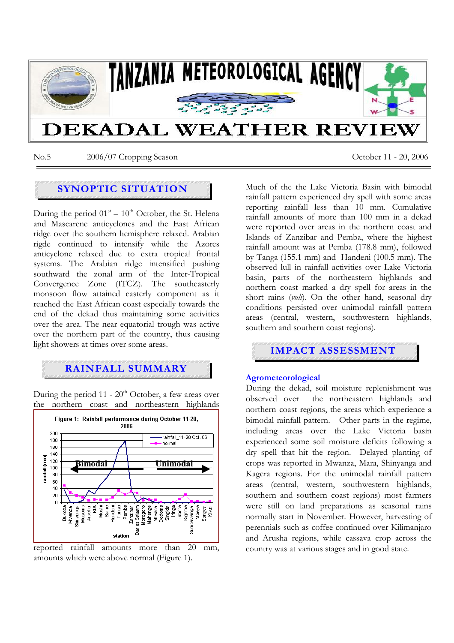

No.5 2006/07 Cropping Season October 11 - 20, 2006

# **SYNOPTIC SITUATION**

During the period  $01<sup>st</sup> - 10<sup>th</sup>$  October, the St. Helena and Mascarene anticyclones and the East African ridge over the southern hemisphere relaxed. Arabian rigde continued to intensify while the Azores anticyclone relaxed due to extra tropical frontal systems. The Arabian ridge intensified pushing southward the zonal arm of the Inter-Tropical Convergence Zone (ITCZ). The southeasterly monsoon flow attained easterly component as it reached the East African coast especially towards the end of the dekad thus maintaining some activities over the area. The near equatorial trough was active over the northern part of the country, thus causing light showers at times over some areas.

## **RAINFALL SUMMARY**

During the period 11 -  $20<sup>th</sup>$  October, a few areas over the northern coast and northeastern highlands





Much of the the Lake Victoria Basin with bimodal rainfall pattern experienced dry spell with some areas reporting rainfall less than 10 mm. Cumulative rainfall amounts of more than 100 mm in a dekad were reported over areas in the northern coast and Islands of Zanzibar and Pemba, where the highest rainfall amount was at Pemba (178.8 mm), followed by Tanga (155.1 mm) and Handeni (100.5 mm). The observed lull in rainfall activities over Lake Victoria basin, parts of the northeastern highlands and northern coast marked a dry spell for areas in the short rains (*vuli*). On the other hand, seasonal dry conditions persisted over unimodal rainfall pattern areas (central, western, southwestern highlands, southern and southern coast regions).



### **Agrometeorological**

During the dekad, soil moisture replenishment was observed over the northeastern highlands and northern coast regions, the areas which experience a bimodal rainfall pattern. Other parts in the regime, including areas over the Lake Victoria basin experienced some soil moisture deficits following a dry spell that hit the region. Delayed planting of crops was reported in Mwanza, Mara, Shinyanga and Kagera regions. For the unimodal rainfall pattern areas (central, western, southwestern highlands, southern and southern coast regions) most farmers were still on land preparations as seasonal rains normally start in November. However, harvesting of perennials such as coffee continued over Kilimanjaro and Arusha regions, while cassava crop across the country was at various stages and in good state.